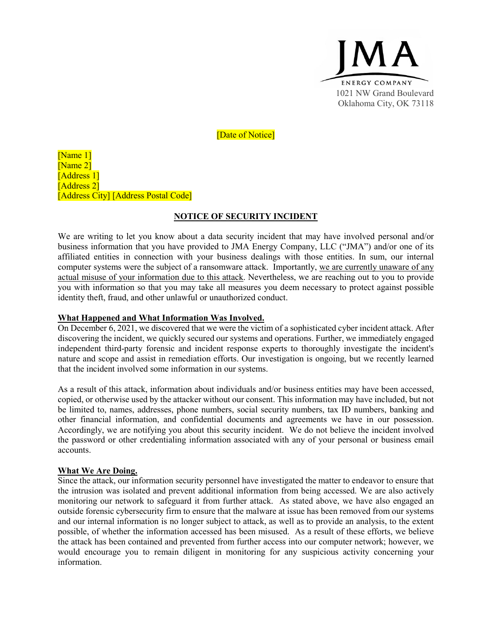

[Date of Notice]

[Name 1] [Name 2] [Address 1] [Address 2] [Address City] [Address Postal Code]

## **NOTICE OF SECURITY INCIDENT**

We are writing to let you know about a data security incident that may have involved personal and/or business information that you have provided to JMA Energy Company, LLC ("JMA") and/or one of its affiliated entities in connection with your business dealings with those entities. In sum, our internal computer systems were the subject of a ransomware attack. Importantly, we are currently unaware of any actual misuse of your information due to this attack. Nevertheless, we are reaching out to you to provide you with information so that you may take all measures you deem necessary to protect against possible identity theft, fraud, and other unlawful or unauthorized conduct.

#### **What Happened and What Information Was Involved.**

On December 6, 2021, we discovered that we were the victim of a sophisticated cyber incident attack. After discovering the incident, we quickly secured our systems and operations. Further, we immediately engaged independent third-party forensic and incident response experts to thoroughly investigate the incident's nature and scope and assist in remediation efforts. Our investigation is ongoing, but we recently learned that the incident involved some information in our systems.

As a result of this attack, information about individuals and/or business entities may have been accessed, copied, or otherwise used by the attacker without our consent. This information may have included, but not be limited to, names, addresses, phone numbers, social security numbers, tax ID numbers, banking and other financial information, and confidential documents and agreements we have in our possession. Accordingly, we are notifying you about this security incident. We do not believe the incident involved the password or other credentialing information associated with any of your personal or business email accounts.

#### **What We Are Doing.**

Since the attack, our information security personnel have investigated the matter to endeavor to ensure that the intrusion was isolated and prevent additional information from being accessed. We are also actively monitoring our network to safeguard it from further attack. As stated above, we have also engaged an outside forensic cybersecurity firm to ensure that the malware at issue has been removed from our systems and our internal information is no longer subject to attack, as well as to provide an analysis, to the extent possible, of whether the information accessed has been misused. As a result of these efforts, we believe the attack has been contained and prevented from further access into our computer network; however, we would encourage you to remain diligent in monitoring for any suspicious activity concerning your information.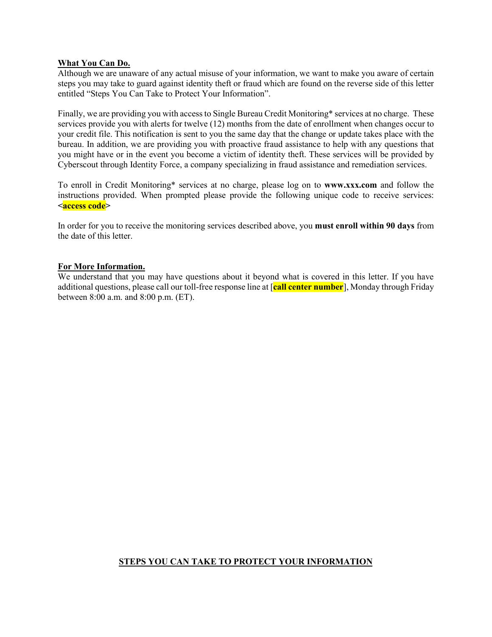## **What You Can Do.**

Although we are unaware of any actual misuse of your information, we want to make you aware of certain steps you may take to guard against identity theft or fraud which are found on the reverse side of this letter entitled "Steps You Can Take to Protect Your Information".

Finally, we are providing you with access to Single Bureau Credit Monitoring\* services at no charge. These services provide you with alerts for twelve (12) months from the date of enrollment when changes occur to your credit file. This notification is sent to you the same day that the change or update takes place with the bureau. In addition, we are providing you with proactive fraud assistance to help with any questions that you might have or in the event you become a victim of identity theft. These services will be provided by Cyberscout through Identity Force, a company specializing in fraud assistance and remediation services.

To enroll in Credit Monitoring\* services at no charge, please log on to **www.xxx.com** and follow the instructions provided. When prompted please provide the following unique code to receive services: **<access code>**

In order for you to receive the monitoring services described above, you **must enroll within 90 days** from the date of this letter.

#### **For More Information.**

We understand that you may have questions about it beyond what is covered in this letter. If you have additional questions, please call our toll-free response line at [**call center number**], Monday through Friday between 8:00 a.m. and 8:00 p.m. (ET).

# **STEPS YOU CAN TAKE TO PROTECT YOUR INFORMATION**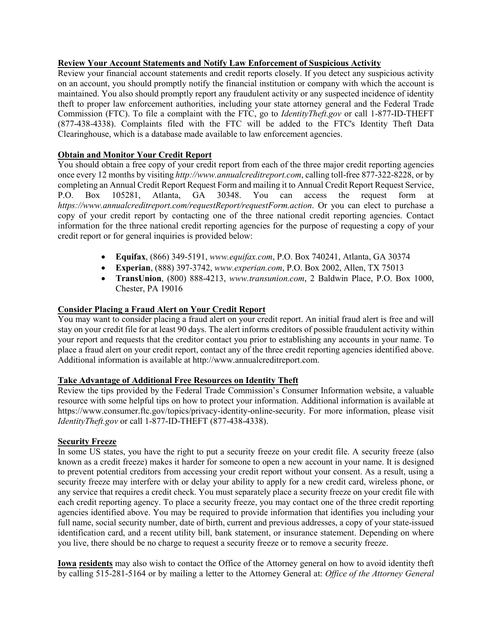## **Review Your Account Statements and Notify Law Enforcement of Suspicious Activity**

Review your financial account statements and credit reports closely. If you detect any suspicious activity on an account, you should promptly notify the financial institution or company with which the account is maintained. You also should promptly report any fraudulent activity or any suspected incidence of identity theft to proper law enforcement authorities, including your state attorney general and the Federal Trade Commission (FTC). To file a complaint with the FTC, go to *IdentityTheft.gov* or call 1-877-ID-THEFT (877-438-4338). Complaints filed with the FTC will be added to the FTC's Identity Theft Data Clearinghouse, which is a database made available to law enforcement agencies.

# **Obtain and Monitor Your Credit Report**

You should obtain a free copy of your credit report from each of the three major credit reporting agencies once every 12 months by visiting *http://www.annualcreditreport.com*, calling toll-free 877-322-8228, or by completing an Annual Credit Report Request Form and mailing it to Annual Credit Report Request Service,<br>P.O. Box 105281, Atlanta, GA 30348. You can access the request form at P.O. Box 105281, Atlanta, GA 30348. You can access the request form at *https://www.annualcreditreport.com/requestReport/requestForm.action*. Or you can elect to purchase a copy of your credit report by contacting one of the three national credit reporting agencies. Contact information for the three national credit reporting agencies for the purpose of requesting a copy of your credit report or for general inquiries is provided below:

- **Equifax**, (866) 349-5191, *www.equifax.com*, P.O. Box 740241, Atlanta, GA 30374
- **Experian**, (888) 397-3742, *www.experian.com*, P.O. Box 2002, Allen, TX 75013
- **TransUnion**, (800) 888-4213, *www.transunion.com*, 2 Baldwin Place, P.O. Box 1000, Chester, PA 19016

# **Consider Placing a Fraud Alert on Your Credit Report**

You may want to consider placing a fraud alert on your credit report. An initial fraud alert is free and will stay on your credit file for at least 90 days. The alert informs creditors of possible fraudulent activity within your report and requests that the creditor contact you prior to establishing any accounts in your name. To place a fraud alert on your credit report, contact any of the three credit reporting agencies identified above. Additional information is available at http://www.annualcreditreport.com.

## **Take Advantage of Additional Free Resources on Identity Theft**

Review the tips provided by the Federal Trade Commission's Consumer Information website, a valuable resource with some helpful tips on how to protect your information. Additional information is available at https://www.consumer.ftc.gov/topics/privacy-identity-online-security. For more information, please visit *IdentityTheft.gov* or call 1-877-ID-THEFT (877-438-4338).

#### **Security Freeze**

In some US states, you have the right to put a security freeze on your credit file. A security freeze (also known as a credit freeze) makes it harder for someone to open a new account in your name. It is designed to prevent potential creditors from accessing your credit report without your consent. As a result, using a security freeze may interfere with or delay your ability to apply for a new credit card, wireless phone, or any service that requires a credit check. You must separately place a security freeze on your credit file with each credit reporting agency. To place a security freeze, you may contact one of the three credit reporting agencies identified above. You may be required to provide information that identifies you including your full name, social security number, date of birth, current and previous addresses, a copy of your state-issued identification card, and a recent utility bill, bank statement, or insurance statement. Depending on where you live, there should be no charge to request a security freeze or to remove a security freeze.

**Iowa residents** may also wish to contact the Office of the Attorney general on how to avoid identity theft by calling 515-281-5164 or by mailing a letter to the Attorney General at: *Office of the Attorney General*